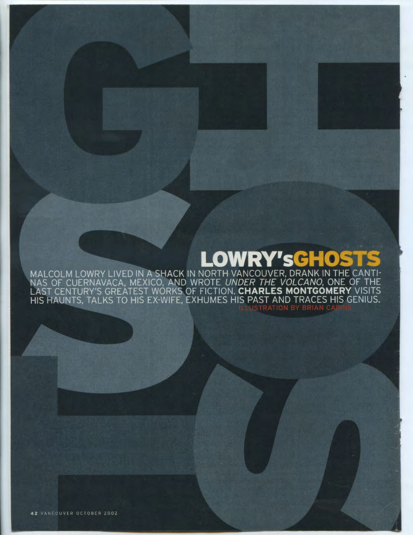# **LOWRY'sGHOS**

MALCOLM LOWRY LIVED IN A SHACK IN NORTH VANCOUVER, DRANK IN THE CANTI-<br>NAS OF CUERNAVACA, MEXICO, AND WROTE UNDER THE VOLCANO, ONE OF THE<br>LAST CENTURY'S GREATEST WORKS OF FICTION. CHARLES MONTGOMERY VISITS<br>HIS HAUNTS, TALK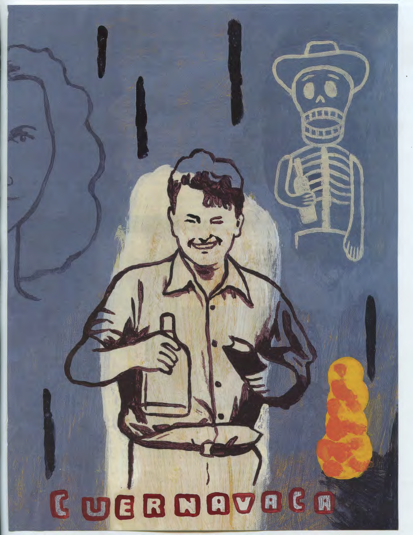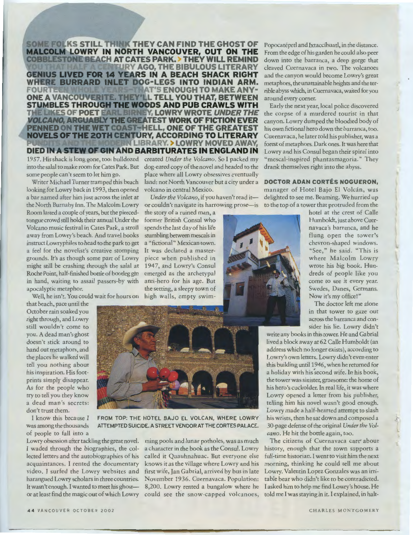**SOME FOLKS STILL THINK THEY CAN FIND THE GHOST OF MALCOLM LOWRY IN NORTH VANCOUVER, OUT ON THE COBBLESTONE BEACH AT CATES PARK. > THEY WILL REMIND Y AGO, THE BIBULOUS LITERARY GENIUS LIVED FOR 14 YEARS IN A BEACH SHACK RIGHT WHERE BURRARD INLET DOG-LEGS INTO INDIAN ARM.**<br>FOURTHERMINING INTERNATE AND ANY-**FINAT'S ENOUGH TO MAKE ANY-ONE A VANCOUVERITE. THEY'LL TELL YOU THAT, BETWEEN ST MBLES THROUGH THE WOODS AND PUB CRAWLS WITH**  THE LIKES OF POET E ARL BIRNEY, LOWRY WROTE *UNDER THE* **VOLCANO, ARGUABLY THE GREATEST WORK OF FICTION EVER PENNED ON THE WET COAST- ELL, ONE OF THE GREATEST NOVELS OF THE 20TH CENTURY, ACCORDING TO LITERARY LIBRARY. LOWRY MOVED AWAY, DIED IN A STEW OF GIN AND BARBITURATES IN ENGLAND IN** 1957. His shack is long gone, too: bulldozed created *Under the Volcano.* So I packed my into the salal to make room for Cates Park. But dog-eared copy of the novel and headed to the some people can't seem to let him go.

Writer Michael Turner tramped this beach looking for Lowry back in 1993, then opened a bar named after him just across the inlet at the North Burnaby Inn. The Malcolm Lowry Room lasted a couple of years, but the piercedtongue crowd still holds their annual Under the Volcano music festival in Cates Park, a stroll away from Lowry's beach. And travel books instruct Lowryphiles to head to the park to get a "fictional" Mexican town. a feel for the novelist's creative stomping It was declared a mastergrounds. It's as though some part of Lowry might still be crashing through the salal at 1947, and Lowry's Consul Roche Point, half-finished bottle of bootleg gin in hand, waiting to assail passers-by with anti-hero for his age. But apocalyptic metaphor.

Well, he isn't. You could wait for hours on high walls, empty swim-

that beach, pace until the October rain soaked you right through, and Lowry still wouldn't come to you. A dead man's ghost doesn't stick around to hand out metaphors, and the places he walked will tell you nothing about his inspiration. His footprints simply disappear. As for the people who try to tell you they know a dead man's secrets: don't trust them.

of people to fall into a

place where all Lowry obsessives eventually land: not North Vancouver but a city under a volcano in central Mexico.

*Under the Volcano*, if you haven't read it-

the story of a ruined man, a former British Consul who spends the last day of his life stumbling between mescals in piece when published in emerged as the archetypal the setting, a sleepy town of



I know this because I FROM TOP: THE HOTEL BAJO EL VOLCAN, WHERE LOWRY was among the thousands ATTEMPTED SUICIDE. A STREET VENDOR AT THE CORTES PALACE.

Lowry obsession after tackling the great novel. ming pools and lunar potholes, was as much I waded through the biographies, the col- a character in the book as the Consul. Lowry lected letters and the autobiographies of his called it Quauhnahuac. But everyone else acquaintances. I rented the documentary knows it as the village where Lowry and his video. I surfed the Lowry websites and first wife, Jan Gabrial, arrived by bus in late harangued Lowry scholars in three countries. November 1936. Cuernavaca. Population: It wasn't enough. I wanted to meet his ghost- 8,200. Lowry rented a bungalow where he or at least find the magic out of which Lowry could see the snow-capped volcanoes, told me I was staying in it. I explained, in halt-

Popocatépetl and Ixtaccíhuatl, in the distance. From the edge of his garden he could also peer down into the barranca, a deep gorge that cleaved Cuernavaca in two. The volcanoes and the canyon would become Lowry's great metaphors, the unattainable heights and the terrible abyss which, in Cuemavaca, waited for you around every corner.

Early the next year, local police discovered the corpse of a murdered tourist in that canyon. Lowry dumped the bloodied body of his own fictional hero down the barranca, too. Cuernavaca, he later told his publisher, was a forest of metaphors. Dark ones. It was here that Lowry and his Consul began their spiral into "mescal-inspired phantasmagoria." They drank themselves right into the abyss.

### **DOCTOR ADAN CORTES NOGUERON,**

or couldn't navigate its harrowing prose—is to the top of a tower that protruded from the manager of Hotel Bajo El Volcán, was delighted to see me. Beaming. We hurried up

> hotel at the crest of Calle Humboldt, just above Cuernavaca's barranca, and he flung open the tower's chevron-shaped windows. "See," he said. "This is where Malcolm Lowry wrote his big book. Hundreds of people like you come to see it every year. Swedes, Danes, Germans. Now it's my office!"

> The doctor left me alone in that tower to gaze out across the barranca and consider his lie. Lowry didn't

write any books in this tower. He and Gabrial lived a block away at 62 Calle Humboldt (an address which no longer exists), according to Lowry's own letters. Lowry didn't even enter this building until 1946, when he returned for a holiday with his second wife. In his book, the tower was sinister, gruesome: the home of his hero's cuckolder. In real life, it was where Lowry opened a letter from his publisher, telling him his novel wasn't good enough. Lowry made a half-hearted attempt to slash his wrists, then he sat down and composed a 30-page defense of the original *Under the Volcano.* He hit the bottle again, too.

The citizens of Cuernavaca care' about history, enough that the town supports a full-time historian. I went to visit him the next morning, thinking he could tell me about Lowry. Valentin Lopez Gonzales was an irritable bear who didn't like to be contradicted. I asked him to help me find Lowry's house. He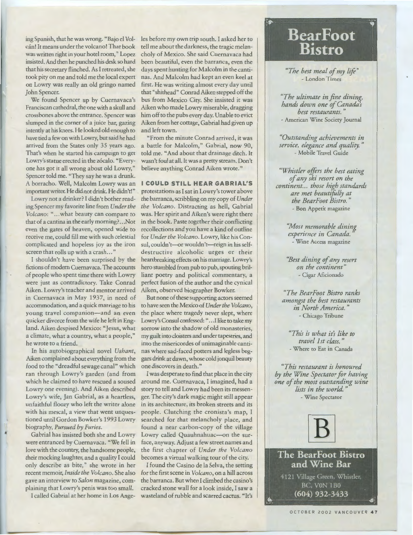ing Spanish, that he was wrong. "Bajo el Vol-les before my own trip south. I asked her to insisted. And then he punched his desk so hard took pity on me and told me the local expert on Lowry was really an old gringo named John Spencer.

We found Spencer up by Cuernavaca's Franciscan cathedral, the one with a skull and crossbones above the entrance. Spencer was intently at his knees. He looked old enough to have tied a few on with Lowry, but said he had That's when he started his campaign to get Lowry's statue erected in the zócalo. "Everyone has got it all wrong about old Lowry," Spencer told me. "They say he was a drunk. A borracho. Well, Malcolm Lowry was an important writer. He did not drink. He didn't!"

Lowry not a drinker? I didn't bother reading Spencer my favorite line from *Under the Volcano:* " ... what beauty can compare to screen that rolls up with a crash..."

fictions of modern Cuernavaca. The accounts of people who spent time there with Lowry were just as contradictory. Take Conrad Aiken. Lowry's teacher and mentor arrived in Cuernavaca in May 1937, in need of accommodation, and a quick marriage to his young travel companion-and an even quicker divorce from the wife he left in England. Aiken despised Mexico: "Jesus, what a climate, what a country, what a people," he wrote to a friend.

In his autobiographical novel *Ushant,*  Aiken complained about everything from the food to the "dreadful sewage canal" which ran through Lowry's garden (and from which he claimed to have rescued a soused Lowry one evening). And Aiken described Lowry's wife, Jan Gabrial, as a heartless, unfaithful floozy who left the writer alone with his mescal, a view that went unquestioned until Gordon Bowker's 1993 Lowry biography, *Pursued by Furies.* 

Gabrial has insisted both she and Lowry were entranced by Cuernavaca. "We fell in love with the country, the handsome people, their mocking laughter, and a quality I could only describe as bite," she wrote in her recent memoir, *Inside the Volcano.* She also gave an interview to *Salon* magazine, complaining that Lowry's penis was too small.

cán! It means under the volcano! That book tell me about the darkness, the tragic melanwas written right in your hotel room," Lopez choly of Mexico. She said Cuernavaca had that his secretary flinched. As I retreated, she days spent hunting for Malcolm in the cantislumped in the corner of a juice bar, gazing Aiken from her cottage, Gabrial had given up been beautiful, even the barranca, even the nas. And Malcolm had kept an even keel at first. He was writing almost every day until that "shithead" Conrad Aiken stepped off the bus from Mexico City. She insisted it was Aiken who made Lowry miserable, dragging him off to the pubs every day. Unable to evict and left town.

arrived from the States only 35 years ago. a battle for Malcolm," Gabrial, now 90, "From the minute Conrad arrived, it was told me. "And about that drainage ditch. It wasn't foul at all. It was a pretty stream. Don't believe anything Conrad Aiken wrote."

### **I COULD STILL HEAR GABRIAL'S**

that of a cantina in the early morning? ... Not in the book. Paste together their conflicting even the gates of heaven, opened wide to recollections and you have a kind of outline receive me, could fill me with such celestial for *Under the Volcano.* Lowry, like his Concomplicated and hopeless joy as the iron sul, couldn't-or wouldn't-reign in his self-I shouldn't have been surprised by the heartbreaking effects on his marriage. Lowry's protestations as I sat in Lowry's tower above the barranca, scribbling on my copy of *Under the Volcano.* Distracting as hell, Gabrial was. Her spirit and Aiken's were right there destructive alcoholic urges or their hero stumbled from pub to pub, spouting brilliant poetry and political commentary, a perfect fusion of the author and the cynical Aiken, observed biographer Bowker.

But none of these supporting actors seemed to have seen the Mexico of *Under the Volcano,*  the place where tragedy never slept, where Lowry's Consul confessed: " .. .I like to take my sorrow into the shadow of old monasteries, my guilt into cloisters and under tapestries, and into the misericordes of unimaginable cantinas where sad-faced potters and legless beggars drink at dawn, whose cold jonquil beauty one discovers in death."

I was desperate to find that place in the city around me. Cuernavaca, I imagined, had a story to tell and Lowry had been its messenger. The city's dark magic might still appear in its architecture, its broken streets and its people. Clutching the cronista's map, I searched for that melancholy place, and found a near carbon-copy of the village Lowry called Quauhnahuac---on the surface, anyway. Adjust a few street names and the first chapter of *Under the Volcano*  becomes a virtual walking tour of the city.

I called Gabrial at her home in Los Ange-wasteland of rubble and scarred cactus. "It's I found the Casino de Ia Selva, the setting for the first scene in *Volcano,* on a hill across the barranca. But when I climbed the casino's cracked stone wall for a look inside, I saw a

# **Bear Foot Bistro**

*"The best meal of my life"*  - London Times

*"The ultimate in fine dining, hands down one of Canada's best restaurants.*  -American Wine Society Journal

*"Outstanding achievements in service, elegance and quality.* " - Mobile Travel Guide

*"Whistler offirs the best eating of any ski resort on the continent.. . those high standards are met beautifully at the BearFoot Bistro.* " - Bon Apperir magazine

> *"Most memorable dining experience in Canada.* -Wine Access magazine

*"Best dining of any resort on the continent"*  - Cigar Aficionado

*"The BearFoot Bistro ranks amongst the best restaurants in North America.* " - Chicago Tribune

*"This is what it's like to travel 1st class.* " - Where to Ear in Canada

*"This restaurant is honoured by the Wine Spectator for having one of the most outstanding wine lists in the world.* " - Wine Spectator



**The BearFoot Bistro** and Wine Bar 4121 Village Green, Whistler, BC, VON 1B0  $(604)$  932-3433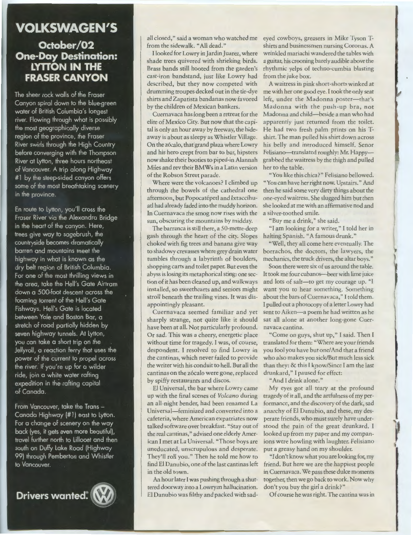## **VOLKSWAGEN'S**

### **October/02 One-Day Destination: LYITON IN THE FRASER CANYON**

The sheer rock walls of the Fraser Canyon spiral down to the blue-green water of British Columbia's longest river. Flowing through what is possibly the most geographically diverse region of the province, the Fraser River swirls through the High Country before converging with the Thompson River at Lytton, three hours northeast of Vancouver. A trip along Highway #1 by the steep-sided canyon offers some of the most breathtaking scenery in the province.

En route to Lytton, you'll cross the Fraser River via the Alexandra Bridge in the heart of the canyon. Here, trees give way to sagebrush, the countryside becomes dramatically barren and mountains meet the highway in what is known as the dry belt region of British Columbia. For one of the most thrilling views in the area, take the Hell's Gate Airtram down a 500-foot descent across the foaming torrent of the Hell's Gate Fishways. Hell's Gate is located between Yale and Boston Bar, a stretch of road partially hidden by seven highway tunnels. At Lytton, you can take a short trip on the Jellyroll, a reaction ferry that uses the power of the current to propel across the river. If you're up for a wilder ride, join a white water rafting expedition in the rafting capital of Canada.

From Vancouver, take the Trans -Canada Highway (# 1) east to Lytton. For a change of scenery on the way back (yes, it gets even more beautiful), travel further north to Lillooet and then south on Duffy Lake Road (Highway 99) through Pemberton and Whistler to Vancouver.

**Drivers wanted:** 

from the sidewalk. "All dead."

I looked for Lowry in Jardin Juarez, where shade trees quivered with shrieking birds. Brass bands still hooted from the garden's cast-iron bandstand, just like Lowry had described, but they now competed with drumming troupes decked out in the tie-dye shirts and Zapatista bandanas now favored by the children of Mexican bankers.

Cuernavaca has long been a retreat for the elite of Mexico City. But now that the capital is only an hour away by freeway, the hideaway is about as sleepy as Whistler Village. On the z6calo, that grand plaza where Lowry and his hero crept from bar to bar, hipsters now shake their booties to piped-in Alannah Miles and rev their BMWs in a Latin version of the Robson Street parade.

Where were the volcanoes? I climbed up through the bowels of the cathedral one afternoon, but Popocatépetl and Ixtaccíhuatl had already faded into the muddy horizon. In Cuernavaca the smog now rises with the sun, obscuring the mountains by midday.

The barranca is still there, a 50-metre-deep gash through the heart of the city. Slopes choked with fig trees and banana give way to shadowy crevasses where grey drain water tumbles through a labyrinth of boulders, shopping carts and toilet paper. But even the abyss is losing its metaphorical sting: one section of it has been cleaned up, and walkways installed, so sweethearts and seniors might stroll beneath the trailing vines. It was disappointingly pleasant.

Cuernavaca seemed familiar and yet sharply strange, not quite like it should have been at all. Not particularly profound. Or sad. This was a cheery, energetic place without time for tragedy. I was, of course, despondent. I resolved to find Lowry in the cantinas, which never failed to provide the writer with his conduit to hell. But all the cantinas on the zócalo were gone, replaced by spiffy restaurants and discos.

El Universal, the bar where Lowry came up with the final scenes of *Volcano* during an all-night bender, had been renamed La Universal-feminized and converted into a cafeteria, where American expatriates now talked software over breakfast. "Stay out of the real cantinas," advised one elderly American I met at La Universal. "Those boys are uneducated, unscrupulous and desperate. They'll roll you." Then he told me how to find El Danubio, one of the last cantinas left in the old town.

An hour later I was pushing through a shuttered doorway into a Lowryan hallucination. El Danubio was filthy and packed with sad-

all closed," said a woman who watched me eyed cowboys, greasers in Mike Tyson Tshirts and businessmen nursing Coronas. A wrinkled mariachi wandered the tables with a guitar, his crooning barely audible above the rhythmic yelps of techno-cumbia blasting from the juke box.

A waitress in pink short-shorts winked at me with her one good eye. I took the only seat left, under the Madonna poster-that's Madonna with the push-up bra, not Madonna and child-beside a man who had apparently just returned from the toilet. He had two fresh palm prints on his Tshirt. The man pulled his shirt down across his belly and introduced himself. Senor Felisiano-translated roughly: Mr. Happygrabbed the waitress by the thigh and pulled her to the table.

"You like this chica?" Felisiano bellowed. "You can have her right now. Upstairs." And then he said some very dirty things about the one-eyed waitress. She slugged him but then she looked at me with an affirmative nod and a silver-toothed smile.

"Buy me a drink," she said.

"I am looking for a writer," I told her in halting Spanish. "A famous drunk."

"Well, they all come here eventually. The borrachos, the doctors, the lawyers, the mechanics, the truck drivers, the altar boys."

Soon there were six of us around the table. It took me four cubanos-beer with lime juice and lots of salt-to get my courage up. "I want you to hear something. Something about the bars of Cuernavaca," I told them. I pulled out a photocopy of a letter Lowry had sent to Aiken-a poem he had written as he sat all alone at another long-gone Cuernavaca cantina.

"Come on guys, shut up," I said. Then I translated for them: "Where are your friends you fool you have but one/And that a friend who also makes you sick/But much less sick than they: & this I know/Since I am the last drunkard," I paused for effect:

"And I drink alone."

My eyes got all teary at the profound tragedy of it all, and the artfulness of my performance, and the discovery of the dark, sad anarchy of El Danubio, and these, my desperate friends, who must surely have understood the pain of the great drunkard. I looked up from my paper and my companions were howling with laughter. Felisiano put a greasy hand on my shoulder.

**J** 

"I don't know what you are looking for, my friend. But here we are the happiest people in Cuernavaca. We pass these dulce moments together, then we go back to work. Now why don't you buy the girl a drink?"

Of course he was right. The cantina was in